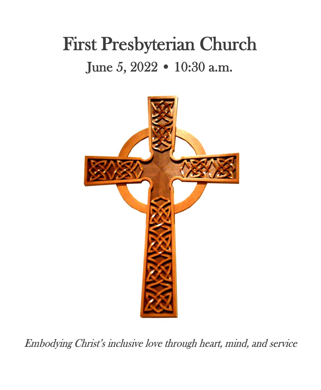# First Presbyterian Church June 5, 2022 • 10:30 a.m.



Embodying Christ's inclusive love through heart, mind, and service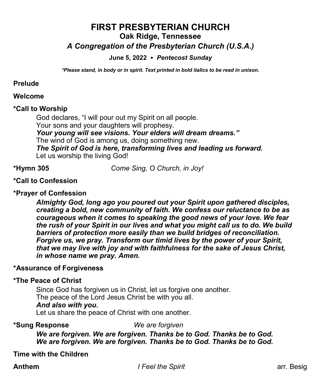# **FIRST PRESBYTERIAN CHURCH Oak Ridge, Tennessee** *A Congregation of the Presbyterian Church (U.S.A.)*

## **June 5, 2022** *Pentecost Sunday*

*\*Please stand, in body or in spirit. Text printed in bold italics to be read in unison.*

#### **Prelude**

#### **Welcome**

#### **\*Call to Worship**

God declares, "I will pour out my Spirit on all people. Your sons and your daughters will prophesy. *Your young will see visions. Your elders will dream dreams."* The wind of God is among us, doing something new. *The Spirit of God is here, transforming lives and leading us forward.* Let us worship the living God!

**\*Hymn 305** *Come Sing, O Church, in Joy!*

#### **\*Call to Confession**

#### **\*Prayer of Confession**

*Almighty God, long ago you poured out your Spirit upon gathered disciples, creating a bold, new community of faith. We confess our reluctance to be as courageous when it comes to speaking the good news of your love. We fear the rush of your Spirit in our lives and what you might call us to do. We build barriers of protection more easily than we build bridges of reconciliation. Forgive us, we pray. Transform our timid lives by the power of your Spirit, that we may live with joy and with faithfulness for the sake of Jesus Christ, in whose name we pray. Amen.*

#### **\*Assurance of Forgiveness**

#### **\*The Peace of Christ**

Since God has forgiven us in Christ, let us forgive one another. The peace of the Lord Jesus Christ be with you all. *And also with you***.**

Let us share the peace of Christ with one another.

#### **\*Sung Response** *We are forgiven*

*We are forgiven. We are forgiven. Thanks be to God. Thanks be to God. We are forgiven. We are forgiven. Thanks be to God. Thanks be to God.* 

**Time with the Children**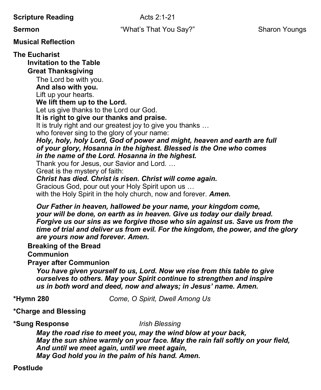**Scripture Reading** Acts 2:1-21

**Sermon Example 3 That You Say?"** Sharon Youngs Sharon Youngs

**Musical Reflection**

**The Eucharist**

**Invitation to the Table**

**Great Thanksgiving**

The Lord be with you.

**And also with you.**

Lift up your hearts.

**We lift them up to the Lord.**

Let us give thanks to the Lord our God.

**It is right to give our thanks and praise.**

It is truly right and our greatest joy to give you thanks …

who forever sing to the glory of your name:

*Holy, holy, holy Lord, God of power and might, heaven and earth are full of your glory, Hosanna in the highest. Blessed is the One who comes in the name of the Lord. Hosanna in the highest.*

Thank you for Jesus, our Savior and Lord. …

Great is the mystery of faith:

*Christ has died. Christ is risen. Christ will come again.*

Gracious God, pour out your Holy Spirit upon us …

with the Holy Spirit in the holy church, now and forever. *Amen.*

*Our Father in heaven, hallowed be your name, your kingdom come, your will be done, on earth as in heaven. Give us today our daily bread. Forgive us our sins as we forgive those who sin against us. Save us from the time of trial and deliver us from evil. For the kingdom, the power, and the glory are yours now and forever. Amen.*

**Breaking of the Bread**

**Communion** 

**Prayer after Communion**

*You have given yourself to us, Lord. Now we rise from this table to give ourselves to others. May your Spirit continue to strengthen and inspire us in both word and deed, now and always; in Jesus' name. Amen.*

**\*Hymn 280** *Come, O Spirit, Dwell Among Us*

**\*Charge and Blessing**

**\*Sung Response** *Irish Blessing* 

*May the road rise to meet you, may the wind blow at your back, May the sun shine warmly on your face. May the rain fall softly on your field, And until we meet again, until we meet again, May God hold you in the palm of his hand. Amen.*

# **Postlude**